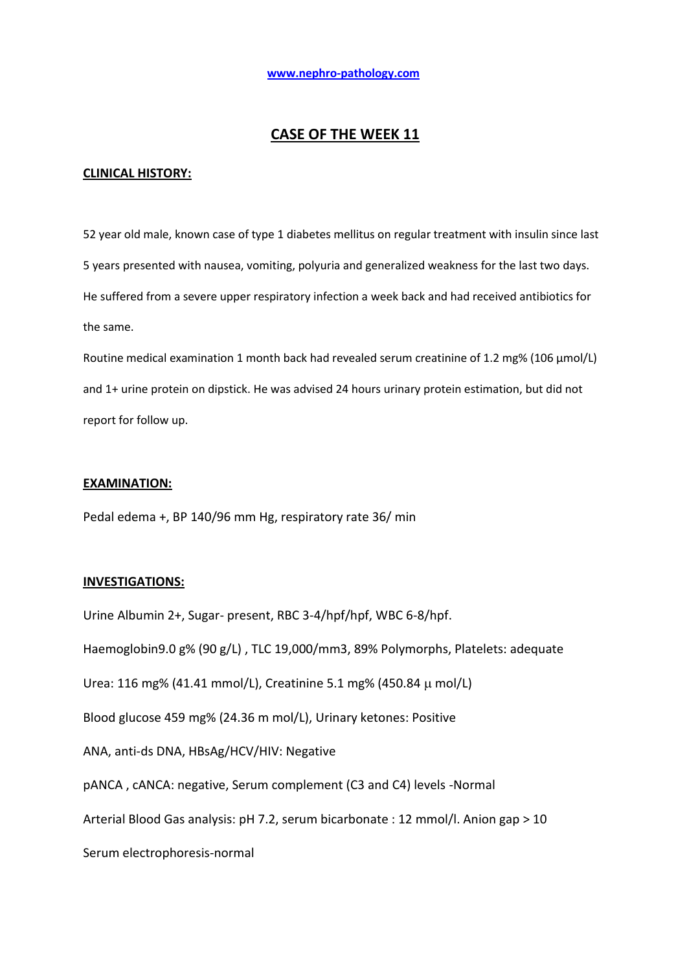# **CASE OF THE WEEK 11**

## **CLINICAL HISTORY:**

52 year old male, known case of type 1 diabetes mellitus on regular treatment with insulin since last 5 years presented with nausea, vomiting, polyuria and generalized weakness for the last two days. He suffered from a severe upper respiratory infection a week back and had received antibiotics for the same.

Routine medical examination 1 month back had revealed serum creatinine of 1.2 mg% (106 µmol/L) and 1+ urine protein on dipstick. He was advised 24 hours urinary protein estimation, but did not report for follow up.

### **EXAMINATION:**

Pedal edema +, BP 140/96 mm Hg, respiratory rate 36/ min

### **INVESTIGATIONS:**

Urine Albumin 2+, Sugar- present, RBC 3-4/hpf/hpf, WBC 6-8/hpf. Haemoglobin9.0 g% (90 g/L) , TLC 19,000/mm3, 89% Polymorphs, Platelets: adequate Urea: 116 mg% (41.41 mmol/L), Creatinine 5.1 mg% (450.84 mol/L) Blood glucose 459 mg% (24.36 m mol/L), Urinary ketones: Positive ANA, anti-ds DNA, HBsAg/HCV/HIV: Negative pANCA , cANCA: negative, Serum complement (C3 and C4) levels -Normal Arterial Blood Gas analysis: pH 7.2, serum bicarbonate : 12 mmol/l. Anion gap > 10 Serum electrophoresis-normal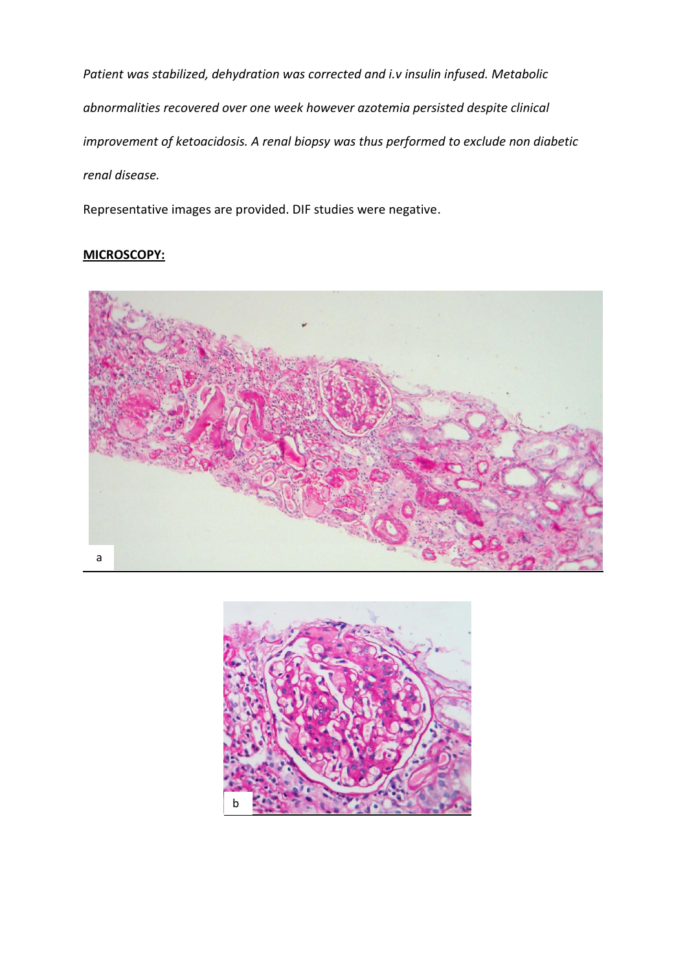*Patient was stabilized, dehydration was corrected and i.v insulin infused. Metabolic abnormalities recovered over one week however azotemia persisted despite clinical improvement of ketoacidosis. A renal biopsy was thus performed to exclude non diabetic renal disease.*

Representative images are provided. DIF studies were negative.

## **MICROSCOPY:**



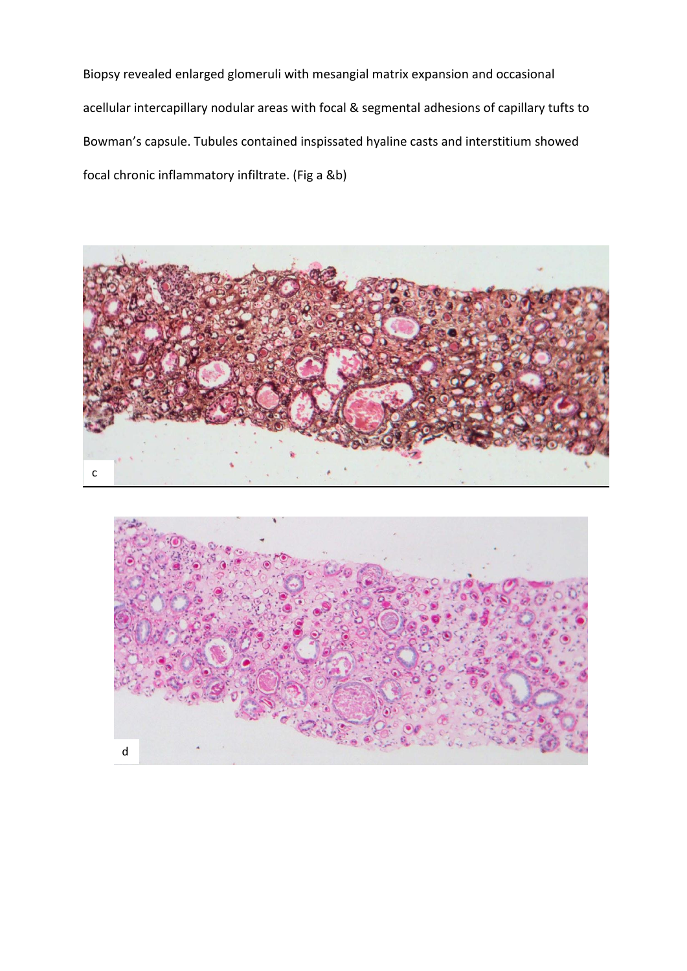Biopsy revealed enlarged glomeruli with mesangial matrix expansion and occasional acellular intercapillary nodular areas with focal & segmental adhesions of capillary tufts to Bowman's capsule. Tubules contained inspissated hyaline casts and interstitium showed focal chronic inflammatory infiltrate. (Fig a &b)



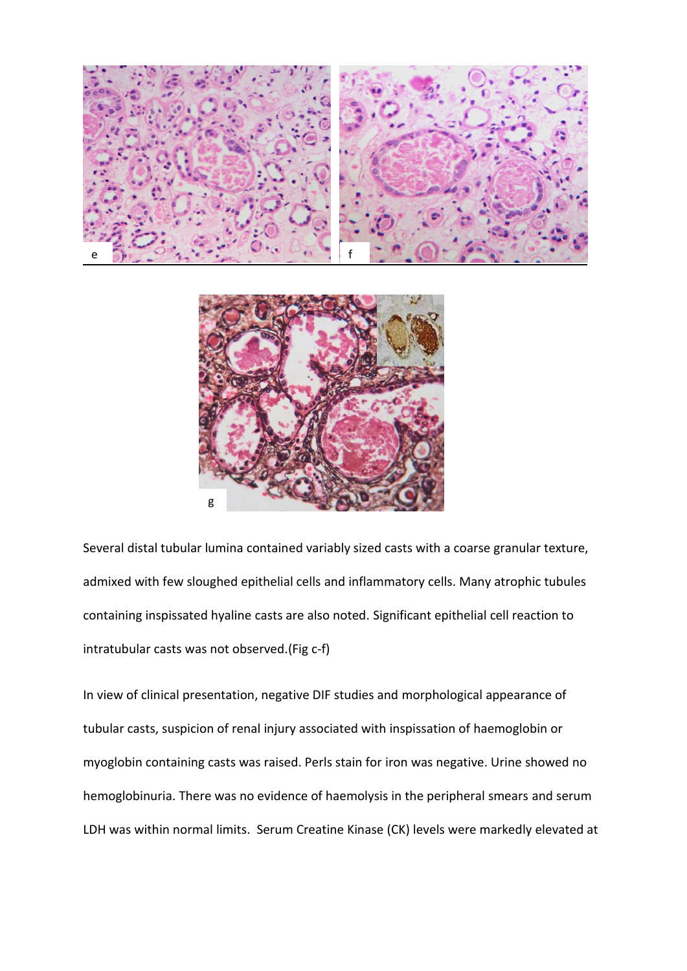

Several distal tubular lumina contained variably sized casts with a coarse granular texture, admixed with few sloughed epithelial cells and inflammatory cells. Many atrophic tubules containing inspissated hyaline casts are also noted. Significant epithelial cell reaction to intratubular casts was not observed.(Fig c-f)

In view of clinical presentation, negative DIF studies and morphological appearance of tubular casts, suspicion of renal injury associated with inspissation of haemoglobin or myoglobin containing casts was raised. Perls stain for iron was negative. Urine showed no hemoglobinuria. There was no evidence of haemolysis in the peripheral smears and serum LDH was within normal limits. Serum Creatine Kinase (CK) levels were markedly elevated at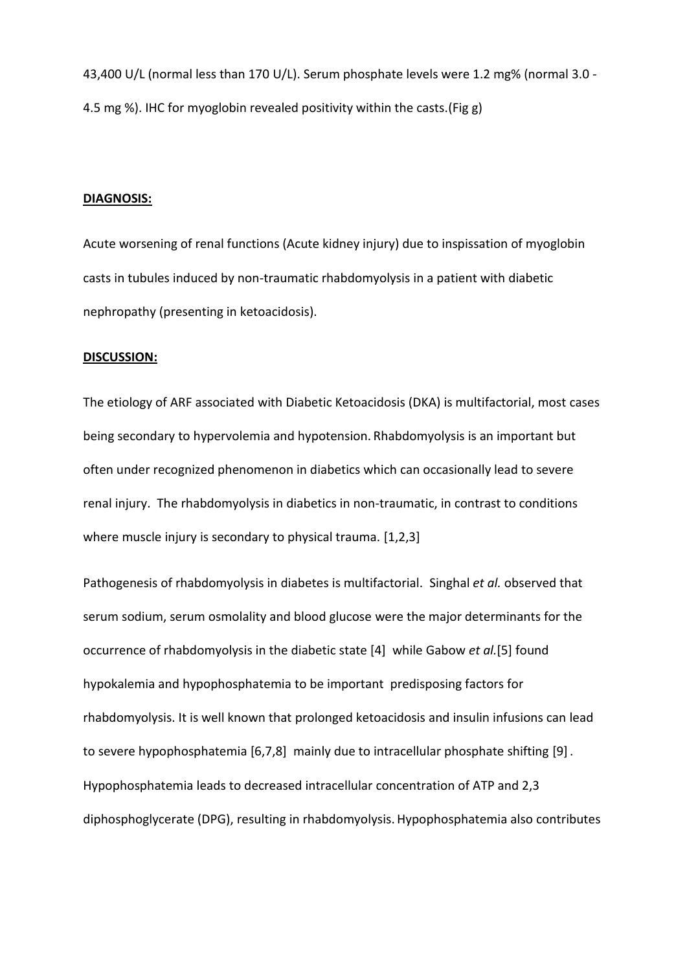43,400 U/L (normal less than 170 U/L). Serum phosphate levels were 1.2 mg% (normal 3.0 - 4.5 mg %). IHC for myoglobin revealed positivity within the casts.(Fig g)

## **DIAGNOSIS:**

Acute worsening of renal functions (Acute kidney injury) due to inspissation of myoglobin casts in tubules induced by non-traumatic rhabdomyolysis in a patient with diabetic nephropathy (presenting in ketoacidosis).

#### **DISCUSSION:**

The etiology of ARF associated with Diabetic Ketoacidosis (DKA) is multifactorial, most cases being secondary to hypervolemia and hypotension. Rhabdomyolysis is an important but often under recognized phenomenon in diabetics which can occasionally lead to severe renal injury. The rhabdomyolysis in diabetics in non-traumatic, in contrast to conditions where muscle injury is secondary to physical trauma. [1,2,3]

Pathogenesis of rhabdomyolysis in diabetes is multifactorial. Singhal *et al.* observed that serum sodium, serum osmolality and blood glucose were the major determinants for the occurrence of rhabdomyolysis in the diabetic state [4] while Gabow *et al.*[5] found hypokalemia and hypophosphatemia to be important predisposing factors for rhabdomyolysis. It is well known that prolonged ketoacidosis and insulin infusions can lead to severe hypophosphatemia [6,7,8] mainly due to intracellular phosphate shifting [9]. Hypophosphatemia leads to decreased intracellular concentration of ATP and 2,3 diphosphoglycerate (DPG), resulting in rhabdomyolysis.Hypophosphatemia also contributes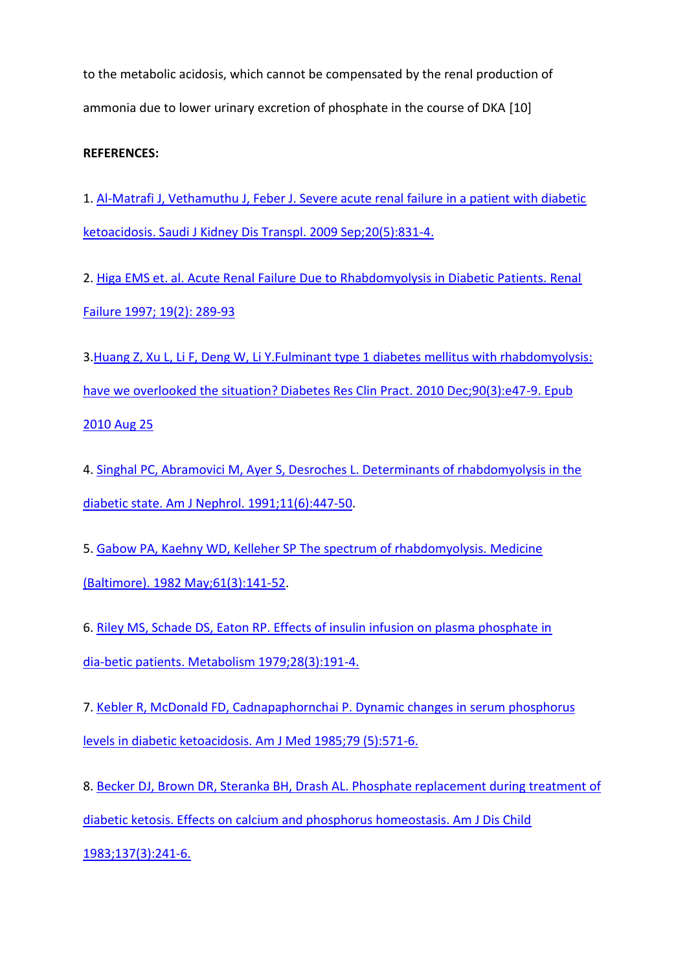to the metabolic acidosis, which cannot be compensated by the renal production of ammonia due to lower urinary excretion of phosphate in the course of DKA [10]

## **REFERENCES:**

1. [Al-Matrafi J, Vethamuthu J, Feber J. Severe acute renal failure in a patient with diabetic](http://www.ncbi.nlm.nih.gov/pubmed?term=Saudi%20J%20Kidney%20Dis%20Transpl.%202009%20Sep%3B20(5)%3A831-4.)  ketoacidosis. [Saudi J Kidney Dis Transpl. 2009 Sep;20\(5\):831-4.](http://www.ncbi.nlm.nih.gov/pubmed?term=Saudi%20J%20Kidney%20Dis%20Transpl.%202009%20Sep%3B20(5)%3A831-4.)

2. [Higa EMS et. al. Acute Renal Failure Due to Rhabdomyolysis in Diabetic Patients. Renal](http://www.ncbi.nlm.nih.gov/pubmed?term=Renal%20Failure%201997%3B%2019(2)%3A%20289-93)  [Failure 1997; 19\(2\): 289-93](http://www.ncbi.nlm.nih.gov/pubmed?term=Renal%20Failure%201997%3B%2019(2)%3A%20289-93)

3. Huang Z, Xu L, Li F, Deng W, Li Y. Fulminant type 1 diabetes mellitus with rhabdomyolysis: have we overlooked the situation? [Diabetes Res Clin Pract. 2010 Dec;90\(3\):e47-9. Epub](http://www.ncbi.nlm.nih.gov/pubmed?term=Diabetes%20Res%20Clin%20Pract.%202010%20Dec%3B90(3)%3Ae47-9.%20Epub%202010%20Aug%2025)  [2010 Aug 25](http://www.ncbi.nlm.nih.gov/pubmed?term=Diabetes%20Res%20Clin%20Pract.%202010%20Dec%3B90(3)%3Ae47-9.%20Epub%202010%20Aug%2025)

4. [Singhal PC, Abramovici M, Ayer S, Desroches L. Determinants of rhabdomyolysis in the](http://www.ncbi.nlm.nih.gov/pubmed/1819210)  [diabetic state. Am J Nephrol. 1991;11\(6\):447-50.](http://www.ncbi.nlm.nih.gov/pubmed/1819210)

5. Gabow PA, Kaehny WD, Kelleher SP [The spectrum of rhabdomyolysis. Medicine](http://www.ncbi.nlm.nih.gov/pubmed/7078398)  [\(Baltimore\). 1982 May;61\(3\):141-52.](http://www.ncbi.nlm.nih.gov/pubmed/7078398)

6. [Riley MS, Schade DS, Eaton RP. Effects of insulin infusion on plasma phosphate in](http://www.ncbi.nlm.nih.gov/pubmed/105228)  [dia-betic patients. Metabolism 1979;28\(3\):191-4.](http://www.ncbi.nlm.nih.gov/pubmed/105228) 

7. [Kebler R, McDonald FD, Cadnapaphornchai P. Dynamic changes in serum phosphorus](http://www.ncbi.nlm.nih.gov/pubmed?term=Am%20J%20Med%201985%3B79%20(5)%3A571-6)  [levels in diabetic ketoacidosis. Am J Med 1985;79 \(5\):571-6.](http://www.ncbi.nlm.nih.gov/pubmed?term=Am%20J%20Med%201985%3B79%20(5)%3A571-6) 

8. [Becker DJ, Brown DR, Steranka BH, Drash AL. Phosphate replacement during treatment of](http://www.ncbi.nlm.nih.gov/pubmed?term=Am%20J%20Dis%20Child%201983%3B137(3)%3A241-6.)  [diabetic ketosis. Effects on calcium and phosphorus homeostasis. Am J Dis Child](http://www.ncbi.nlm.nih.gov/pubmed?term=Am%20J%20Dis%20Child%201983%3B137(3)%3A241-6.)  [1983;137\(3\):241-6.](http://www.ncbi.nlm.nih.gov/pubmed?term=Am%20J%20Dis%20Child%201983%3B137(3)%3A241-6.)